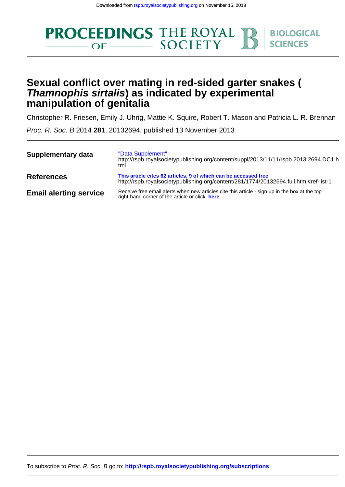

# **manipulation of genitalia Thamnophis sirtalis) as indicated by experimental Sexual conflict over mating in red-sided garter snakes (**

Christopher R. Friesen, Emily J. Uhrig, Mattie K. Squire, Robert T. Mason and Patricia L. R. Brennan

Proc. R. Soc. B 2014 **281**, 20132694, published 13 November 2013

| Supplementary data            | "Data Supplement"<br>http://rspb.royalsocietypublishing.org/content/suppl/2013/11/11/rspb.2013.2694.DC1.h<br>tml                                         |
|-------------------------------|----------------------------------------------------------------------------------------------------------------------------------------------------------|
| <b>References</b>             | This article cites 62 articles, 9 of which can be accessed free<br>http://rspb.royalsocietypublishing.org/content/281/1774/20132694.full.html#ref-list-1 |
| <b>Email alerting service</b> | Receive free email alerts when new articles cite this article - sign up in the box at the top<br>right-hand corner of the article or click here          |

To subscribe to Proc. R. Soc. B go to: **<http://rspb.royalsocietypublishing.org/subscriptions>**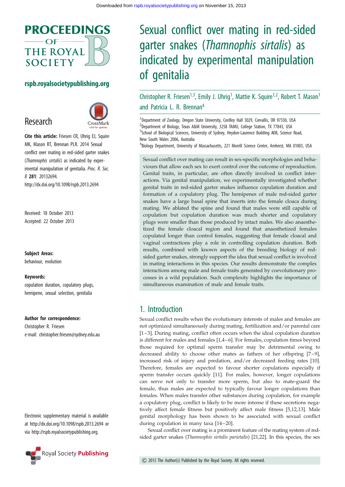

## rspb.royalsocietypublishing.org





Cite this article: Friesen CR, Uhrig EJ, Squire MK, Mason RT, Brennan PLR. 2014 Sexual conflict over mating in red-sided garter snakes (Thamnophis sirtalis) as indicated by experimental manipulation of genitalia. Proc. R. Soc. B 281: 20132694. http://dx.doi.org/10.1098/rspb.2013.2694

Received: 18 October 2013 Accepted: 22 October 2013

Subject Areas:

behaviour, evolution

#### Keywords:

copulation duration, copulatory plugs, hemipene, sexual selection, genitalia

#### Author for correspondence:

Christopher R. Friesen e-mail: [christopher.friesen@sydney.edu.au](mailto:christopher.friesen@sydney.edu.au)

Electronic supplementary material is available at<http://dx.doi.org/10.1098/rspb.2013.2694> or via<http://rspb.royalsocietypublishing.org>.



# Sexual conflict over mating in red-sided garter snakes (Thamnophis sirtalis) as indicated by experimental manipulation of genitalia

Christopher R. Friesen<sup>1,3</sup>, Emily J. Uhrig<sup>1</sup>, Mattie K. Squire<sup>1,2</sup>, Robert T. Mason<sup>1</sup> and Patricia L. R. Brennan4

<sup>1</sup>Department of Zoology, Oregon State University, Cordley Hall 3029, Corvallis, OR 97330, USA <sup>2</sup>Department of Biology, Texas A&M University, 3258 TAMU, College Station, TX 77843, USA <sup>3</sup>School of Biological Sciences, University of Sydney, Heydon-Laurence Building A08, Science Road, New South Wales 2006, Australia

<sup>4</sup>Biology Department, University of Massachusetts, 221 Morrill Science Center, Amherst, MA 01003, USA

Sexual conflict over mating can result in sex-specific morphologies and behaviours that allow each sex to exert control over the outcome of reproduction. Genital traits, in particular, are often directly involved in conflict interactions. Via genital manipulation, we experimentally investigated whether genital traits in red-sided garter snakes influence copulation duration and formation of a copulatory plug. The hemipenes of male red-sided garter snakes have a large basal spine that inserts into the female cloaca during mating. We ablated the spine and found that males were still capable of copulation but copulation duration was much shorter and copulatory plugs were smaller than those produced by intact males. We also anaesthetized the female cloacal region and found that anaesthetized females copulated longer than control females, suggesting that female cloacal and vaginal contractions play a role in controlling copulation duration. Both results, combined with known aspects of the breeding biology of redsided garter snakes, strongly support the idea that sexual conflict is involved in mating interactions in this species. Our results demonstrate the complex interactions among male and female traits generated by coevolutionary processes in a wild population. Such complexity highlights the importance of simultaneous examination of male and female traits.

## 1. Introduction

Sexual conflict results when the evolutionary interests of males and females are not optimized simultaneously during mating, fertilization and/or parental care [[1](#page-7-0)–3]. During mating, conflict often occurs when the ideal copulation duration is different for males and females [[1,4](#page-7-0)–[6\]](#page-7-0). For females, copulation times beyond those required for optimal sperm transfer may be detrimental owing to decreased ability to choose other mates as fathers of her offspring [\[7](#page-7-0)-[9\]](#page-7-0), increased risk of injury and predation, and/or decreased feeding rates [[10\]](#page-7-0). Therefore, females are expected to favour shorter copulations especially if sperm transfer occurs quickly [\[11](#page-7-0)]. For males, however, longer copulations can serve not only to transfer more sperm, but also to mate-guard the female, thus males are expected to typically favour longer copulations than females. When males transfer other substances during copulation, for example a copulatory plug, conflict is likely to be more intense if these secretions negatively affect female fitness but positively affect male fitness [\[5,12,13](#page-7-0)]. Male genital morphology has been shown to be associated with sexual conflict during copulation in many taxa [\[14](#page-7-0)–[20](#page-7-0)].

Sexual conflict over mating is a prominent feature of the mating system of redsided garter snakes (Thamnophis sirtalis parietalis) [[21,22](#page-7-0)]. In this species, the sex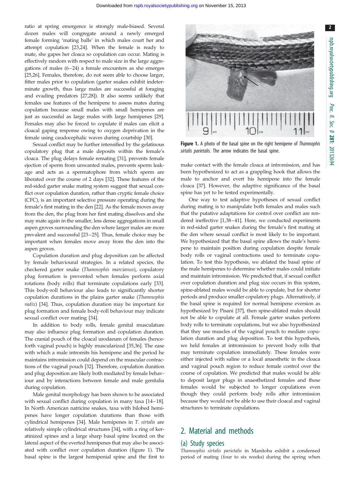<span id="page-2-0"></span>ratio at spring emergence is strongly male-biased. Several dozen males will congregate around a newly emerged female forming 'mating balls' in which males court her and attempt copulation [\[23,24\]](#page-7-0). When the female is ready to mate, she gapes her cloaca so copulation can occur. Mating is effectively random with respect to male size in the large aggregations of males (6–24) a female encounters as she emerges [\[25,26](#page-7-0)]. Females, therefore, do not seem able to choose larger, fitter males prior to copulation (garter snakes exhibit indeterminate growth, thus large males are successful at foraging and evading predators [\[27,28\]](#page-7-0)). It also seems unlikely that females use features of the hemipene to assess mates during copulation because small males with small hemipenes are just as successful as large males with large hemipenes [[29](#page-7-0)]. Females may also be forced to copulate if males can elicit a cloacal gaping response owing to oxygen deprivation in the female using caudocephalic waves during courtship [\[30\]](#page-7-0).

Sexual conflict may be further intensified by the gelatinous copulatory plug that a male deposits within the female's cloaca. The plug delays female remating [\[31](#page-7-0)], prevents female ejection of sperm from unwanted males, prevents sperm leakage and acts as a spermatophore from which sperm are liberated over the course of 2 days [[32\]](#page-7-0). These features of the red-sided garter snake mating system suggest that sexual conflict over copulation duration, rather than cryptic female choice (CFC), is an important selective pressure operating during the female's first mating in the den [[22](#page-7-0)]. As the female moves away from the den, the plug from her first mating dissolves and she may mate again in the smaller, less dense aggregations in small aspen groves surrounding the den where larger males are more prevalent and successful [\[23](#page-7-0)–[25](#page-7-0)]. Thus, female choice may be important when females move away from the den into the aspen groves.

Copulation duration and plug deposition can be affected by female behavioural strategies. In a related species, the checkered garter snake (Thamnophis marcianus), copulatory plug formation is prevented when females perform axial rotations (body rolls) that terminate copulations early [\[33](#page-7-0)]. This body-roll behaviour also leads to significantly shorter copulation durations in the plains garter snake (Thamnophis radix) [\[34](#page-7-0)]. Thus, copulation duration may be important for plug formation and female body-roll behaviour may indicate sexual conflict over mating [[34\]](#page-7-0).

In addition to body rolls, female genital musculature may also influence plug formation and copulation duration. The cranial pouch of the cloacal urodaeum of females (henceforth vaginal pouch) is highly muscularized [[35](#page-7-0),[36](#page-7-0)]. The ease with which a male intromits his hemipene and the period he maintains intromission could depend on the muscular contractions of the vaginal pouch [\[32\]](#page-7-0). Therefore, copulation duration and plug deposition are likely both mediated by female behaviour and by interactions between female and male genitalia during copulation.

Male genital morphology has been shown to be associated with sexual conflict during copulation in many taxa [[14](#page-7-0)–[18](#page-7-0)]. In North American natricine snakes, taxa with bilobed hemipenes have longer copulation durations than those with cylindrical hemipenes [\[34](#page-7-0)]. Male hemipenes in T. sirtalis are relatively simple cylindrical structures [\[34](#page-7-0)], with a ring of keratinized spines and a large sharp basal spine located on the lateral aspect of the everted hemipenes that may also be associated with conflict over copulation duration (figure 1). The basal spine is the largest hemipenial spine and the first to



Figure 1. A photo of the basal spine on the right hemipene of Thamnophis sirtalis parietalis. The arrow indicates the basal spine.

make contact with the female cloaca at intromission, and has been hypothesized to act as a grappling hook that allows the male to anchor and evert his hemipene into the female cloaca [\[37](#page-7-0)]. However, the adaptive significance of the basal spine has yet to be tested experimentally.

One way to test adaptive hypotheses of sexual conflict during mating is to manipulate both females and males such that the putative adaptations for control over conflict are rendered ineffective [\[1,](#page-7-0)[38](#page-8-0)–[41\]](#page-8-0). Here, we conducted experiments in red-sided garter snakes during the female's first mating at the den where sexual conflict is most likely to be important. We hypothesized that the basal spine allows the male's hemipene to maintain position during copulation despite female body rolls or vaginal contractions used to terminate copulation. To test this hypothesis, we ablated the basal spine of the male hemipenes to determine whether males could initiate and maintain intromission. We predicted that, if sexual conflict over copulation duration and plug size occurs in this system, spine-ablated males would be able to copulate, but for shorter periods and produce smaller copulatory plugs. Alternatively, if the basal spine is required for normal hemipene eversion as hypothesized by Pisani [\[37\]](#page-7-0), then spine-ablated males should not be able to copulate at all. Female garter snakes perform body rolls to terminate copulations, but we also hypothesized that they use muscles of the vaginal pouch to mediate copulation duration and plug deposition. To test this hypothesis, we held females at intromission to prevent body rolls that may terminate copulation immediately. These females were either injected with saline or a local anaesthetic in the cloaca and vaginal pouch region to reduce female control over the course of copulation. We predicted that males would be able to deposit larger plugs in anaesthetized females and these females would be subjected to longer copulations even though they could perform body rolls after intromission because they would not be able to use their cloacal and vaginal structures to terminate copulations.

## 2. Material and methods

## (a) Study species

Thamnophis sirtalis parietalis in Manitoba exhibit a condensed period of mating (four to six weeks) during the spring when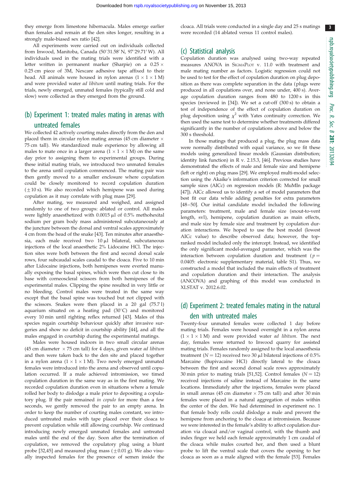they emerge from limestone hibernacula. Males emerge earlier than females and remain at the den sites longer, resulting in a strongly male-biased sex ratio [\[42\]](#page-8-0).

All experiments were carried out on individuals collected from Inwood, Manitoba, Canada (50°31.58' N, 97°29.71' W). All individuals used in the mating trials were identified with a letter written in permanent marker (Sharpie) on a  $0.25 \times$ 0.25 cm piece of 3M, Nexcare adhesive tape affixed to their head. All animals were housed in nylon arenas  $(1\times1\times1\,\mathrm{M})$ and were provided water ad libitum until mating trials. For the trials, newly emerged, unmated females (typically still cold and slow) were collected as they emerged from the ground.

## (b) Experiment 1: treated males mating in arenas with untreated females

We collected 42 actively courting males directly from the den and placed them in circular nylon mating arenas (45 cm diameter  $\times$ 75 cm tall). We standardized male experience by allowing all males to mate once in a larger arena ( $1 \times 1 \times 1$  M) on the same day prior to assigning them to experimental groups. During these initial mating trials, we introduced two unmated females to the arena until copulation commenced. The mating pair was then gently moved to a smaller enclosure where copulation could be closely monitored to record copulation duration  $(\pm 10 \text{ s})$ . We also recorded which hemipene was used during copulation as it may correlate with plug mass [\[29\]](#page-7-0).

After mating, we measured and weighed, and assigned randomly to one of two groups: ablated or control. All males were lightly anaesthetized with  $0.0015 \mu l$  of  $0.5\%$  methohexital sodium per gram body mass administered subcutaneously at the juncture between the dorsal and ventral scales approximately 4 cm from the head of the snake [[43\]](#page-8-0). Ten minutes after anaesthesia, each male received two 10 µl bilateral, subcutaneous injections of the local anaesthetic 2% Lidocaine HCl. The injection sites were both between the first and second dorsal scale rows, four subcaudal scales caudal to the cloaca. Five to 10 min after Lidocaine injections, both hemipenes were everted manually exposing the basal spines, which were then cut close to its base with corneoscleral scissors from both hemipenes of the experimental males. Clipping the spine resulted in very little or no bleeding. Control males were treated in the same way except that the basal spine was touched but not clipped with the scissors. Snakes were then placed in a 20 gal (75.7 l) aquarium situated on a heating pad  $(30^{\circ}C)$  and monitored every 10 min until righting reflex returned [\[43\]](#page-8-0). Males of this species regain courtship behaviour quickly after invasive surgeries and show no deficit in courtship ability [[44](#page-8-0)], and all the males engaged in courtship during the experimental matings.

Males were housed indoors in two small circular arenas (45 cm diameter  $\times$  75 cm tall) for 4 days, given water *ad libitum* and then were taken back to the den site and placed together in a nylon arena (1  $\times$  1  $\times$  1 M). Two newly emerged unmated females were introduced into the arena and observed until copulation occurred. If a male achieved intromission, we timed copulation duration in the same way as in the first mating. We recorded copulation duration even in situations where a female rolled her body to dislodge a male prior to depositing a copulatory plug. If the pair remained in copulo for more than a few seconds, we gently removed the pair to an empty arena. In order to keep the number of courting males constant, we introduced untreated males with tape placed over their cloaca to prevent copulation while still allowing courtship. We continued introducing newly emerged unmated females and untreated males until the end of the day. Soon after the termination of copulation, we removed the copulatory plug using a blunt probe [[32](#page-7-0)[,45\]](#page-8-0) and measured plug mass  $(\pm 0.01 \text{ g})$ . We also visually inspected females for the presence of semen inside the cloaca. All trials were conducted in a single day and 25 s matings were recorded (14 ablated versus 11 control males).

#### (c) Statistical analysis

Copulation duration was analysed using two-way repeated measures ANOVA in SIGMAPLOT v. 11.0 with treatment and male mating number as factors. Logistic regression could not be used to test for the effect of copulation duration on plug deposition as there was complete separation in the data (plugs were produced in all copulations over, and none under, 400 s). Average copulation duration ranges from 480 to 1200 s in this species (reviewed in [\[34\]](#page-7-0)). We set a cut-off (300 s) to obtain a test of independence of the effect of copulation duration on plug deposition using  $\chi^2$  with Yates continuity correction. We then used the same test to determine whether treatments differed significantly in the number of copulations above and below the 300 s threshold.

In those matings that produced a plug, the plug mass data were normally distributed with equal variance, so we fit these models using generalized linear models (Gaussian distribution; identity link function) in R v. 2.15.3, [\[46](#page-8-0)]. Previous studies have demonstrated the effects of male and female size and hemipene (left or right) on plug mass [\[29](#page-7-0)]. We employed multi-model selection using the Akaike's information criterion corrected for small sample sizes (AICc) on regression models (R: MuMIn package [\[47\]](#page-8-0)). AICc allowed us to identify a set of model parameters that best fit our data while adding penalties for extra parameters [[48](#page-8-0)-50]. Our initial candidate model included the following parameters: treatment, male and female size (snout-to-vent length, svl), hemipene, copulation duration as main effects, and male size by female size and treatment by copulation duration interactions. We hoped to use the best model (lowest AICc value) to describe observed data; however, the topranked model included only the intercept. Instead, we identified the only significant model-averaged parameter, which was the interaction between copulation duration and treatment ( $p =$ 0.0405: electronic supplementary material, table S1). Thus, we constructed a model that included the main effects of treatment and copulation duration and their interaction. The analysis (ANCOVA) and graphing of this model was conducted in XLSTAT v. 2012.6.02.

## (d) Experiment 2: treated females mating in the natural den with untreated males

Twenty-four unmated females were collected 1 day before mating trials. Females were housed overnight in a nylon arena  $(1 \times 1 \times 1)$  and were provided water *ad libitum*. The next day, females were returned to Inwood quarry for assisted mating trials. Females randomly assigned to the local anaesthesia treatment ( $N = 12$ ) received two 30  $\mu$ l bilateral injections of 0.5% Marcaine (Bupivacaine HCl) directly lateral to the cloaca between the first and second dorsal scale rows approximately 30 min prior to mating trials [[51,52\]](#page-8-0). Control females  $(N = 12)$ received injections of saline instead of Marcaine in the same locations. Immediately after the injections, females were placed in small arenas (45 cm diameter  $\times$  75 cm tall) and after 30 min females were placed in a natural aggregation of males within the center of the den. We had determined in experiment no. 1 that female body rolls could dislodge a male and prevent the hemipene from anchoring to the cloaca at intromission. Because we were interested in the female's ability to affect copulation duration via cloacal and/or vaginal control, with the thumb and index finger we held each female approximately 1 cm caudal of the cloaca while males courted her, and then used a blunt probe to lift the ventral scale that covers the opening to her cloaca as soon as a male aligned with the female [\[53\]](#page-8-0). Females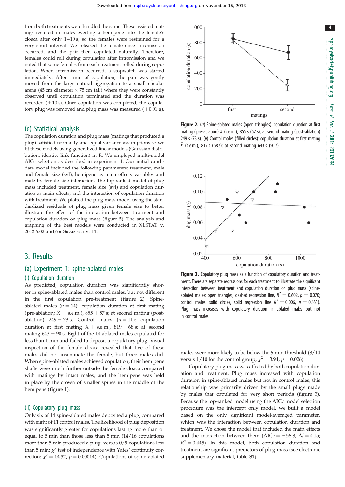from both treatments were handled the same. These assisted matings resulted in males everting a hemipene into the female's cloaca after only  $1-10$  s, so the females were restrained for a very short interval. We released the female once intromission occurred, and the pair then copulated naturally. Therefore, females could roll during copulation after intromission and we noted that some females from each treatment rolled during copulation. When intromission occurred, a stopwatch was started immediately. After 1 min of copulation, the pair was gently moved from the large natural aggregation to a small circular arena (45 cm diameter  $\times$  75 cm tall) where they were constantly observed until copulation terminated and the duration was recorded  $(\pm 10 \text{ s})$ . Once copulation was completed, the copulatory plug was removed and plug mass was measured  $(\pm 0.01 \text{ g})$ .

#### (e) Statistical analysis

The copulation duration and plug mass (matings that produced a plug) satisfied normality and equal variance assumptions so we fit these models using generalized linear models (Gaussian distribution; identity link function) in R. We employed multi-model AICc selection as described in experiment 1. Our initial candidate model included the following parameters: treatment, male and female size (svl), hemipene as main effects variables and male by female size interaction. The top-ranked model of plug mass included treatment, female size (svl) and copulation duration as main effects, and the interaction of copulation duration with treatment. We plotted the plug mass model using the standardized residuals of plug mass given female size to better illustrate the effect of the interaction between treatment and copulation duration on plug mass ([figure 5](#page-5-0)). The analysis and graphing of the best models were conducted in XLSTAT v. 2012.6.02 and/or SIGMAPLOT v. 11.

## 3. Results

## (a) Experiment 1: spine-ablated males

#### (i) Copulation duration

As predicted, copulation duration was significantly shorter in spine-ablated males than control males, but not different in the first copulation pre-treatment (figure 2). Spineablated males ( $n = 14$ ): copulation duration at first mating (pre-ablation;  $\bar{X} \pm$  s.e.m.), 855  $\pm$  57 s; at second mating (postablation) 249  $\pm$  73 s. Control males (*n* = 11): copulation duration at first mating  $\bar{X} \pm$  s.e.m., 819  $\pm$  68 s; at second mating  $643 \pm 90$  s. Eight of the 14 ablated males copulated for less than 1 min and failed to deposit a copulatory plug. Visual inspection of the female cloaca revealed that five of these males did not inseminate the female, but three males did. When spine-ablated males achieved copulation, their hemipene shafts were much further outside the female cloaca compared with matings by intact males, and the hemipene was held in place by the crown of smaller spines in the middle of the hemipene [\(figure 1](#page-2-0)).

#### (ii) Copulatory plug mass

Only six of 14 spine-ablated males deposited a plug, compared with eight of 11 control males. The likelihood of plug deposition was significantly greater for copulations lasting more than or equal to 5 min than those less than 5 min (14/16 copulations more than 5 min produced a plug, versus 0/9 copulations less than 5 min;  $\chi^2$  test of independence with Yates' continuity correction:  $\chi^2$  = 14.52, p = 0.00014). Copulations of spine-ablated



Figure 2. (*a*) Spine-ablated males (open triangles): copulation duration at first mating (pre-ablation)  $\overline{X}$  (s.e.m.), 855 s (57 s); at second mating (post-ablation) 249 s (73 s). (b) Control males (filled circles): copulation duration at first mating  $\overline{X}$  (s.e.m.), 819 s (68 s); at second mating 643 s (90 s).



Figure 3. Copulatory plug mass as a function of copulatory duration and treatment. There are separate regressions for each treatment to illustrate the significant interaction between treatment and copulation duration on plug mass (spineablated males: open triangles, dashed regression line,  $R^2 = 0.602$ ,  $p = 0.070$ ; control males: solid circles, solid regression line  $R^2 = 0.006$ ,  $p = 0.861$ ). Plug mass increases with copulatory duration in ablated males but not in control males.

males were more likely to be below the 5 min threshold (8/14 versus 1/10 for the control group;  $\chi^2 = 3.94$ ,  $p = 0.026$ ).

Copulatory plug mass was affected by both copulation duration and treatment. Plug mass increased with copulation duration in spine-ablated males but not in control males; this relationship was primarily driven by the small plugs made by males that copulated for very short periods (figure 3). Because the top-ranked model using the AICc model selection procedure was the intercept only model, we built a model based on the only significant model-averaged parameter, which was the interaction between copulation duration and treatment. We chose the model that included the main effects and the interaction between them (AICc =  $-56.8$ ,  $\Delta i = 4.15$ ;  $R^2 = 0.445$ ). In this model, both copulation duration and treatment are significant predictors of plug mass (see electronic supplementary material, table S1).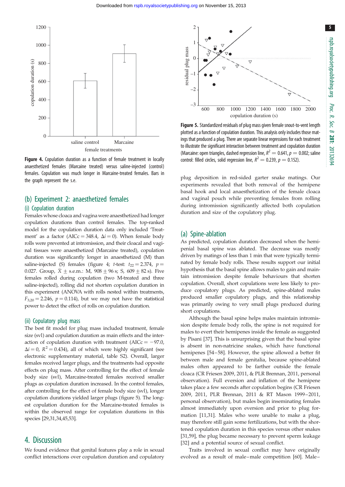<span id="page-5-0"></span>

Figure 4. Copulation duration as a function of female treatment in locally anaesthetized females (Marcaine treated) versus saline-injected (control) females. Copulation was much longer in Marcaine-treated females. Bars in the graph represent the s.e.

## (b) Experiment 2: anaesthetized females

#### (i) Copulation duration

Females whose cloaca and vagina were anaesthetized had longer copulation durations than control females. The top-ranked model for the copulation duration data only included 'Treatment' as a factor (AICc = 348.4,  $\Delta i$  = 0). When female body rolls were prevented at intromission, and their cloacal and vaginal tissues were anaesthetized (Marcaine treated), copulation duration was significantly longer in anaesthetized (M) than saline-injected (S) females (figure 4; t-test:  $t_{22} = 2.374$ ,  $p =$ 0.027. Group,  $\bar{X} \pm$  s.e.m.: M,  $908 \pm 96$  s; S,  $609 \pm 82$  s). Five females rolled during copulation (two M-treated and three saline-injected), rolling did not shorten copulation duration in this experiment (ANOVA with rolls nested within treatments,  $F_{3,20} = 2.246$ ,  $p = 0.114$ ), but we may not have the statistical power to detect the effect of rolls on copulation duration.

#### (ii) Copulatory plug mass

The best fit model for plug mass included treatment, female size (svl) and copulation duration as main effects and the interaction of copulation duration with treatment ( $AICc = -97.0$ ,  $\Delta i = 0$ ,  $R^2 = 0.434$ ), all of which were highly significant (see electronic supplementary material, table S2). Overall, larger females received larger plugs, and the treatments had opposite effects on plug mass. After controlling for the effect of female body size (svl), Marcaine-treated females received smaller plugs as copulation duration increased. In the control females, after controlling for the effect of female body size (svl), longer copulation durations yielded larger plugs (figure 5). The longest copulation duration for the Marcaine-treated females is within the observed range for copulation durations in this species [\[29,31,34,](#page-7-0)[45,53\]](#page-8-0).

## 4. Discussion

We found evidence that genital features play a role in sexual conflict interactions over copulation duration and copulatory



**Figure 5.** Standardized residuals of plug mass given female snout-to-vent length plotted as a function of copulation duration. This analysis only includes those matings that produced a plug. There are separate linear regressions for each treatment to illustrate the significant interaction between treatment and copulation duration (Marcaine: open triangles, dashed regression line,  $R^2 = 0.641$ ,  $p = 0.002$ ; saline control: filled circles, solid regression line,  $R^2 = 0.239$ ,  $p = 0.152$ ).

plug deposition in red-sided garter snake matings. Our experiments revealed that both removal of the hemipene basal hook and local anaesthetization of the female cloaca and vaginal pouch while preventing females from rolling during intromission significantly affected both copulation duration and size of the copulatory plug.

#### (a) Spine-ablation

As predicted, copulation duration decreased when the hemipenial basal spine was ablated. The decrease was mostly driven by matings of less than 1 min that were typically terminated by female body rolls. These results support our initial hypothesis that the basal spine allows males to gain and maintain intromission despite female behaviours that shorten copulation. Overall, short copulations were less likely to produce copulatory plugs. As predicted, spine-ablated males produced smaller copulatory plugs, and this relationship was primarily owing to very small plugs produced during short copulations.

Although the basal spine helps males maintain intromission despite female body rolls, the spine is not required for males to evert their hemipenes inside the female as suggested by Pisani [[37\]](#page-7-0). This is unsurprising given that the basal spine is absent in non-natricine snakes, which have functional hemipenes [[54](#page-8-0) –[58\]](#page-8-0). However, the spine allowed a better fit between male and female genitalia, because spine-ablated males often appeared to be farther outside the female cloaca (CR Friesen 2009, 2011, & PLR Brennan, 2011, personal observation). Full eversion and inflation of the hemipene takes place a few seconds after copulation begins (CR Friesen 2009, 2011, PLR Brennan, 2011 & RT Mason 1999–2011, personal observation), but males begin inseminating females almost immediately upon eversion and prior to plug formation [\[11](#page-7-0),[31\]](#page-7-0). Males who were unable to make a plug, may therefore still gain some fertilizations, but with the shortened copulation duration in this species versus other snakes [[31,](#page-7-0)[59\]](#page-8-0), the plug became necessary to prevent sperm leakage [[32\]](#page-7-0) and a potential source of sexual conflict.

Traits involved in sexual conflict may have originally evolved as a result of male–male competition [[60\]](#page-8-0). Male –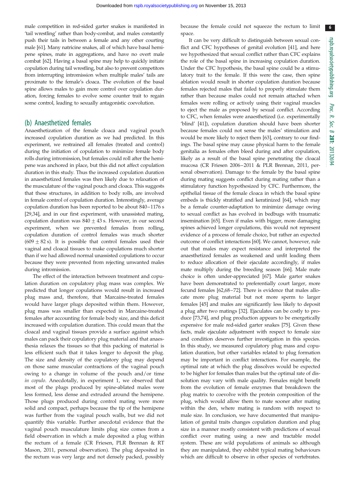male competition in red-sided garter snakes is manifested in 'tail wrestling' rather than body-combat, and males constantly push their tails in between a female and any other courting male [\[61\]](#page-8-0). Many natricine snakes, all of which have basal hemipene spines, mate in aggregations, and have no overt male combat [[62](#page-8-0)]. Having a basal spine may help to quickly initiate copulation during tail wrestling, but also to prevent competitors from interrupting intromission when multiple males' tails are proximate to the female's cloaca. The evolution of the basal spine allows males to gain more control over copulation duration, forcing females to evolve some counter trait to regain some control, leading to sexually antagonistic coevolution.

#### (b) Anaesthetized females

Anaesthetization of the female cloaca and vaginal pouch increased copulation duration as we had predicted. In this experiment, we restrained all females (treated and control) during the initiation of copulation to minimize female body rolls during intromission, but females could roll after the hemipene was anchored in place, but this did not affect copulation duration in this study. Thus the increased copulation duration in anaesthetized females was then likely due to relaxation of the musculature of the vaginal pouch and cloaca. This suggests that these structures, in addition to body rolls, are involved in female control of copulation duration. Interestingly, average copulation duration has been reported to be about 840–1176 s [\[29,34](#page-7-0)], and in our first experiment, with unassisted mating, copulation duration was  $840 + 43$  s. However, in our second experiment, when we prevented females from rolling, copulation duration of control females was much shorter  $(609 + 82 s)$ . It is possible that control females used their vaginal and cloacal tissues to make copulations much shorter than if we had allowed normal unassisted copulations to occur because they were prevented from rejecting unwanted males during intromission.

The effect of the interaction between treatment and copulation duration on copulatory plug mass was complex. We predicted that longer copulations would result in increased plug mass and, therefore, that Marcaine-treated females would have larger plugs deposited within them. However, plug mass was smaller than expected in Marcaine-treated females after accounting for female body size, and this deficit increased with copulation duration. This could mean that the cloacal and vaginal tissues provide a surface against which males can pack their copulatory plug material and that anaesthesia relaxes the tissues so that this packing of material is less efficient such that it takes longer to deposit the plug. The size and density of the copulatory plug may depend on those same muscular contractions of the vaginal pouch owing to a change in volume of the pouch and/or time in copulo. Anecdotally, in experiment 1, we observed that most of the plugs produced by spine-ablated males were less formed, less dense and extruded around the hemipene. Those plugs produced during control mating were more solid and compact, perhaps because the tip of the hemipene was further from the vaginal pouch walls, but we did not quantify this variable. Further anecdotal evidence that the vaginal pouch musculature limits plug size comes from a field observation in which a male deposited a plug within the rectum of a female (CR Friesen, PLR Brennan & RT Mason, 2011, personal observation). The plug deposited in the rectum was very large and not densely packed, possibly

because the female could not squeeze the rectum to limit space.

It can be very difficult to distinguish between sexual conflict and CFC hypotheses of genital evolution [\[41](#page-8-0)], and here we hypothesized that sexual conflict rather than CFC explains the role of the basal spine in increasing copulation duration. Under the CFC hypothesis, the basal spine could be a stimulatory trait to the female. If this were the case, then spine ablation would result in shorter copulation duration because females rejected males that failed to properly stimulate them rather than because males could not remain attached when females were rolling or actively using their vaginal muscles to eject the male as proposed by sexual conflict. According to CFC, when females were anaesthetized (i.e. experimentally 'blind' [\[41\]](#page-8-0)), copulation duration should have been shorter because females could not sense the males' stimulation and would be more likely to reject them [\[63](#page-8-0)], contrary to our findings. The basal spine may cause physical harm to the female genitalia as females often bleed during and after copulation, likely as a result of the basal spine penetrating the cloacal mucosa (CR Friesen 2006–2011 & PLR Brennan, 2011, personal observation). Damage to the female by the basal spine during mating suggests conflict during mating rather than a stimulatory function hypothesized by CFC. Furthermore, the epithelial tissue of the female cloaca in which the basal spine embeds is thickly stratified and keratinized [[64](#page-8-0)], which may be a female counter-adaptation to minimize damage owing to sexual conflict as has evolved in bedbugs with traumatic insemination [\[65](#page-8-0)]. Even if males with bigger, more damaging spines achieved longer copulations, this would not represent evidence of a process of female choice, but rather an expected outcome of conflict interactions [[60\]](#page-8-0). We cannot, however, rule out that males may expect resistance and interpreted the anaesthetized females as weakened and unfit leading them to reduce allocation of their ejaculate accordingly, if males mate multiply during the breeding season [[66](#page-8-0)]. Male mate choice is often under-appreciated [[67\]](#page-8-0). Male garter snakes have been demonstrated to preferentially court larger, more fecund females [\[62,68](#page-8-0)–[72\]](#page-8-0). There is evidence that males allocate more plug material but not more sperm to larger females [\[45](#page-8-0)] and males are significantly less likely to deposit a plug after two matings [\[32\]](#page-7-0). Ejaculates can be costly to produce [\[73,74\]](#page-8-0), and plug production appears to be energetically expensive for male red-sided garter snakes [[75\]](#page-8-0). Given these facts, male ejaculate adjustment with respect to female size and condition deserves further investigation in this species. In this study, we measured copulatory plug mass and copulation duration, but other variables related to plug formation may be important in conflict interactions. For example, the optimal rate at which the plug dissolves would be expected to be higher for females than males but the optimal rate of dissolution may vary with male quality. Females might benefit from the evolution of female enzymes that breakdown the plug matrix to coevolve with the protein composition of the plug, which would allow them to mate sooner after mating within the den, where mating is random with respect to male size. In conclusion, we have documented that manipulation of genital traits changes copulation duration and plug size in a manner mostly consistent with predictions of sexual conflict over mating using a new and tractable model system. These are wild populations of animals so although they are manipulated, they exhibit typical mating behaviours which are difficult to observe in other species of vertebrates.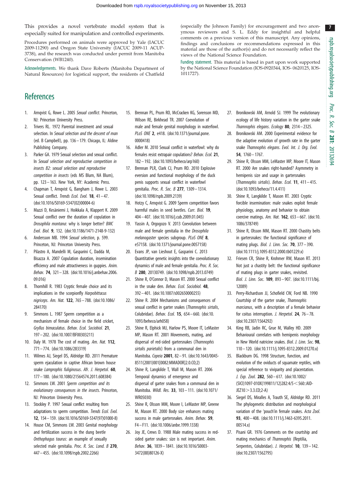rspb.royalsocietypublishing.org Proc. R. Soc. $\sigma$ 281: 20132694

7

<span id="page-7-0"></span>This provides a novel vertebrate model system that is especially suited for manipulation and controlled experiments.

Procedures performed on animals were approved by Yale (IACUC 2009-11290) and Oregon State University (IACUC 2009-11 ACUP-3738), and the research was conducted under permit from Manitoba Conservation (WB1240).

Acknowledgements. We thank Dave Roberts (Manitoba Department of Natural Resources) for logistical support, the residents of Chatfield (especially the Johnson Family) for encouragement and two anonymous reviewers and S. L. Eddy for insightful and helpful comments on a previous version of this manuscript. Any opinions, findings and conclusions or recommendations expressed in this material are those of the author(s) and do not necessarily reflect the views of the National Science Foundation.

Funding statement. This material is based in part upon work supported by the National Science Foundation (IOS-0920344, IOS- 0620125, IOS-1011727).

## **References**

- 1. Arnqvist G, Rowe L. 2005 Sexual conflict. Princeton, NJ: Princeton University Press.
- 2. Trivers RL. 1972 Parental investment and sexual selection. In Sexual selection and the descent of man (ed. B Campbell), pp. 136– 179. Chicago, IL: Aldine Publishing Company.
- 3. Parker GA. 1979 Sexual selection and sexual conflict. In Sexual selection and reproductive competition in insects B2: sexual selection and reproductive competition in insects (eds MS Blum, NA Blum), pp. 123 – 163. New York, NY: Academic Press.
- 4. Chapman T, Arnqvist G, Bangham J, Rowe L. 2003 Sexual conflict. Trends Ecol. Evol.  $18, 41-47$ . [\(doi:10.1016/S0169-5347\(02\)00004-6](http://dx.doi.org/10.1016/S0169-5347(02)00004-6))
- 5. Mazzi D, Kesäniemi J, Hoikkala A, Klappert K. 2009 Sexual conflict over the duration of copulation in Drosophila montana: why is longer better? BMC Evol. Biol. 9, 132. ([doi:10.1186/1471-2148-9-132](http://dx.doi.org/10.1186/1471-2148-9-132))
- 6. Andersson MB. 1994 Sexual selection, p. 599. Princeton, NJ: Princeton University Press.
- 7. Pilastro A, Mandelli M, Gasparini C, Dadda M, Bisazza A. 2007 Copulation duration, insemination efficiency and male attractiveness in guppies. Anim. Behav. 74, 321– 328. ([doi:10.1016/j.anbehav.2006.](http://dx.doi.org/10.1016/j.anbehav.2006.09.016) [09.016\)](http://dx.doi.org/10.1016/j.anbehav.2006.09.016)
- 8. Thornhill R. 1983 Cryptic female choice and its implications in the scorpionfly Harpobittacus nigriceps. Am. Nat. 122, 765– 788. ([doi:10.1086/](http://dx.doi.org/10.1086/284170) [284170](http://dx.doi.org/10.1086/284170))
- 9. Simmons L. 1987 Sperm competition as a mechanism of female choice in the field cricket, Gryllus bimaculatus. Behav. Ecol. Sociobiol. 21, 197– 202. ([doi:10.1007/BF00303211\)](http://dx.doi.org/10.1007/BF00303211)
- 10. Daly M. 1978 The cost of mating. Am. Nat. 112, 771– 774. ([doi:10.1086/283319](http://dx.doi.org/10.1086/283319))
- 11. Wilmes AJ, Siegel DS, Aldridge RD. 2011 Premature sperm ejaculation in captive African brown house snake Lamprophis fuliginosus. Afr. J. Herpetol. 60, 177– 180. ([doi:10.1080/21564574.2011.608384](http://dx.doi.org/10.1080/21564574.2011.608384))
- 12. Simmons LW, 2001 Sperm competition and its evolutionary consequences in the insects. Princeton, NJ: Princeton University Press.
- 13. Stockley P. 1997 Sexual conflict resulting from adaptations to sperm competition. Trends Ecol. Evol. 12, 154–159. ([doi:10.1016/S0169-5347\(97\)01000-8\)](http://dx.doi.org/10.1016/S0169-5347(97)01000-8)
- 14. House CM, Simmons LW. 2003 Genital morphology and fertilization success in the dung beetle Onthophagus taurus: an example of sexually selected male genitalia. Proc. R. Soc. Lond. B 270, 447– 455. ([doi:10.1098/rspb.2002.2266](http://dx.doi.org/10.1098/rspb.2002.2266))
- 15. Brennan PL, Prum RO, McCracken KG, Sorenson MD, Wilson RE, Birkhead TR. 2007 Coevolution of male and female genital morphology in waterfowl. PLoS ONE 2, e418. [\(doi:10.1371/journal.pone.](http://dx.doi.org/10.1371/journal.pone.0000418) [0000418\)](http://dx.doi.org/10.1371/journal.pone.0000418)
- 16. Adler M. 2010 Sexual conflict in waterfowl: why do females resist extrapair copulations? Behav. Ecol. 21, 182 – 192. [\(doi:10.1093/beheco/arp160\)](http://dx.doi.org/10.1093/beheco/arp160)
- 17. Brennan PLR, Clark CJ, Prum RO. 2010 Explosive eversion and functional morphology of the duck penis supports sexual conflict in waterfowl genitalia. Proc. R. Soc. B 277, 1309-1314. [\(doi:10.1098/rspb.2009.2139\)](http://dx.doi.org/10.1098/rspb.2009.2139)
- 18. Hotzy C, Arnqvist G. 2009 Sperm competition favors harmful males in seed beetles. Curr. Biol. 19, 404 – 407. [\(doi:10.1016/j.cub.2009.01.045](http://dx.doi.org/10.1016/j.cub.2009.01.045))
- 19. Yassin A, Orgogozo V. 2013 Coevolution between male and female genitalia in the Drosophila melanogaster species subgroup. PLoS ONE 8, e57158. ([doi:10.1371/journal.pone.0057158](http://dx.doi.org/10.1371/journal.pone.0057158))
- 20. Evans JP, van Lieshout E, Gasparini C. 2013 Quantitative genetic insights into the coevolutionary dynamics of male and female genitalia. Proc. R. Soc. B 280, 20130749. [\(doi:10.1098/rspb.2013.0749](http://dx.doi.org/10.1098/rspb.2013.0749))
- 21. Shine R, O'Connor D, Mason RT. 2000 Sexual conflict in the snake den. Behav. Ecol. Sociobiol. 48. 392 – 401. [\(doi:10.1007/s002650000255](http://dx.doi.org/10.1007/s002650000255))
- 22. Shine R. 2004 Mechanisms and consequences of sexual conflict in garter snakes (Thamnophis sirtalis, Colubridae). Behav. Ecol. 15, 654– 660. ([doi:10.](http://dx.doi.org/10.1093/beheco/arh058) [1093/beheco/arh058\)](http://dx.doi.org/10.1093/beheco/arh058)
- 23. Shine R, Elphick MJ, Harlow PS, Moore IT, LeMaster MP, Mason RT. 2001 Movements, mating, and dispersal of red-sided gartersnakes (Thamnophis sirtalis parietalis) from a communal den in Manitoba. Copeia 2001, 82 – 91. [\(doi:10.1643/0045-](http://dx.doi.org/10.1643/0045-8511(2001)001[0082:MMADOR]2.0.CO;2) [8511\(2001\)001\[0082:MMADOR\]2.0.CO;2](http://dx.doi.org/10.1643/0045-8511(2001)001[0082:MMADOR]2.0.CO;2))
- 24. Shine R, Langkilde T, Wall M, Mason RT. 2006 Temporal dynamics of emergence and dispersal of garter snakes from a communal den in Manitoba. Wildl. Res. 33, 103– 111. [\(doi:10.1071/](http://dx.doi.org/10.1071/WR05030) [WR05030](http://dx.doi.org/10.1071/WR05030))
- 25. Shine R, Olsson MM, Moore I, LeMaster MP, Greene M, Mason RT. 2000 Body size enhances mating success in male gartersnakes. Anim. Behav. 59, F4 – F11. [\(doi:10.1006/anbe.1999.1338\)](http://dx.doi.org/10.1006/anbe.1999.1338)
- 26. Joy JE, Crews D. 1988 Male mating success in redsided garter snakes: size is not important. Anim. Behav. 36, 1839 – 1841. [\(doi:10.1016/S0003-](http://dx.doi.org/10.1016/S0003-3472(88)80126-X) [3472\(88\)80126-X](http://dx.doi.org/10.1016/S0003-3472(88)80126-X))
- 27. Bronikowski AM, Arnold SJ. 1999 The evolutionary ecology of life history variation in the garter snake Thamnophis elegans. Ecology 80, 2314 – 2325.
- 28. Bronikowski AM. 2000 Experimental evidence for the adaptive evolution of growth rate in the garter snake Thamnophis elegans. Evol. Int. J. Org. Evol. 54, 1760 – 1767.
- 29. Shine R, Olsson MM, LeMaster MP, Moore IT, Mason RT. 2000 Are snakes right-handed? Asymmetry in hemipenis size and usage in gartersnakes (Thamnophis sirtalis). Behav. Ecol. 11, 411– 415. ([doi:10.1093/beheco/11.4.411](http://dx.doi.org/10.1093/beheco/11.4.411))
- 30. Shine R, Langkilde T, Mason RT. 2003 Cryptic forcible insemination: male snakes exploit female physiology, anatomy and behavior to obtain coercive matings. Am. Nat. 162, 653 – 667. [\(doi:10.](http://dx.doi.org/10.1086/378749) [1086/378749\)](http://dx.doi.org/10.1086/378749)
- 31. Shine R, Olsson MM, Mason RT. 2000 Chastity belts in gartersnakes: the functional significance of mating plugs. Biol. J. Linn. Soc. 70, 377 – 390. ([doi:10.1111/j.1095-8312.2000.tb01229.x\)](http://dx.doi.org/10.1111/j.1095-8312.2000.tb01229.x)
- 32. Friesen CR, Shine R, Krohmer RW, Mason RT. 2013 Not just a chastity belt: the functional significance of mating plugs in garter snakes, revisited. Biol. J. Linn. Soc. 109, 893 – 907. [\(doi:10.1111/bij.](http://dx.doi.org/10.1111/bij.12089) [12089\)](http://dx.doi.org/10.1111/bij.12089)
- 33. Perry-Richardson JJ, Schofield CW, Ford NB. 1990 Courtship of the garter snake, Thamnophis marcianus, with a description of a female behavior for coitus interruption. *J. Herpetol*. **24**, 76-78. ([doi:10.2307/1564292](http://dx.doi.org/10.2307/1564292))
- 34. King RB, Jadin RC, Grue M, Walley HD. 2009 Behavioural correlates with hemipenis morphology in New World natricine snakes. Biol. J. Linn. Soc. 98, 110– 120. [\(doi:10.1111/j.1095-8312.2009.01270.x\)](http://dx.doi.org/10.1111/j.1095-8312.2009.01270.x)
- 35. Blackburn DG. 1998 Structure, function, and evolution of the oviducts of squamate reptiles, with special reference to viviparity and placentation. J. Exp. Zool. 282, 560– 617. ([doi:10.1002/](http://dx.doi.org/10.1002/(SICI)1097-010X(199811/12)282:4/5%3C560::AID-JEZ10%3E3.3.CO;2-A) [\(SICI\)1097-010X\(199811/12\)282:4/5](http://dx.doi.org/10.1002/(SICI)1097-010X(199811/12)282:4/5%3C560::AID-JEZ10%3E3.3.CO;2-A) < 560::AID- $IF710 > 3.3(C0:2-A)$
- 36. Siegel DS, Miralles A, Trauth SE, Aldridge RD. 2011 The phylogenetic distribution and morphological variation of the 'pouch'in female snakes. Acta Zool. 93, 400 – 408. [\(doi:10.1111/j.1463-6395.2011.](http://dx.doi.org/10.1111/j.1463-6395.2011.00514.x) [00514.x](http://dx.doi.org/10.1111/j.1463-6395.2011.00514.x))
- 37. Pisani GR. 1976 Comments on the courtship and mating mechanics of Thamnophis (Reptilia, Serpentes, Colubridae). J. Herpetol. **10**, 139 - 142. ([doi:10.2307/1562795](http://dx.doi.org/10.2307/1562795))